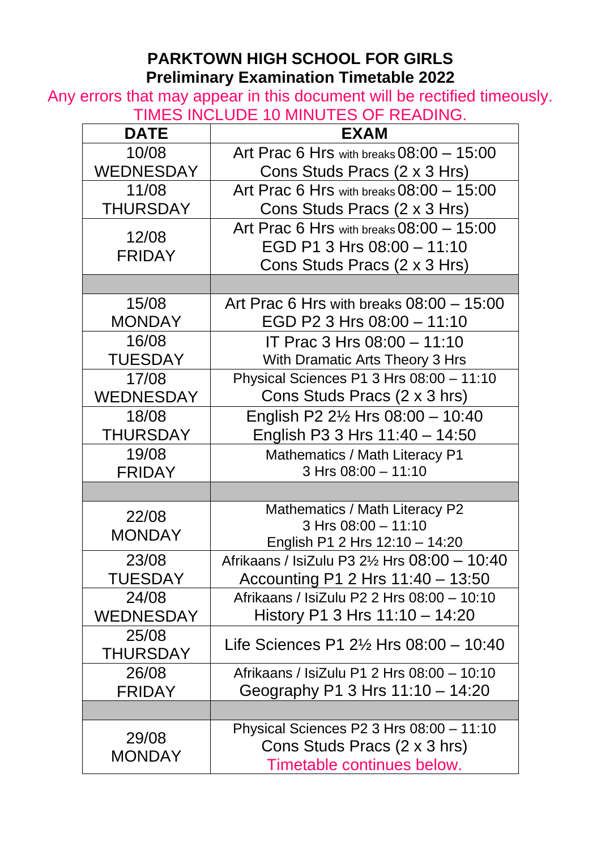## **PARKTOWN HIGH SCHOOL FOR GIRLS Preliminary Examination Timetable 2022**

Any errors that may appear in this document will be rectified timeously. TIMES INCLUDE 10 MINUTES OF READING.

| <b>DATE</b>            | - 10 IVIII 10 I LO 01 - I 12/10 II 10:<br><b>EXAM</b> |
|------------------------|-------------------------------------------------------|
|                        |                                                       |
| 10/08                  | Art Prac 6 Hrs with breaks $08:00 - 15:00$            |
| <b>WEDNESDAY</b>       | Cons Studs Pracs (2 x 3 Hrs)                          |
| 11/08                  | Art Prac 6 Hrs with breaks 08:00 - 15:00              |
| <b>THURSDAY</b>        | Cons Studs Pracs (2 x 3 Hrs)                          |
|                        | Art Prac 6 Hrs with breaks 08:00 - 15:00              |
| 12/08                  | EGD P1 3 Hrs 08:00 - 11:10                            |
| <b>FRIDAY</b>          | Cons Studs Pracs (2 x 3 Hrs)                          |
|                        |                                                       |
| 15/08                  | Art Prac 6 Hrs with breaks $08:00 - 15:00$            |
| <b>MONDAY</b>          | EGD P2 3 Hrs 08:00 - 11:10                            |
| 16/08                  | IT Prac 3 Hrs 08:00 - 11:10                           |
| <b>TUESDAY</b>         | With Dramatic Arts Theory 3 Hrs                       |
| 17/08                  | Physical Sciences P1 3 Hrs 08:00 - 11:10              |
| <b>WEDNESDAY</b>       | Cons Studs Pracs (2 x 3 hrs)                          |
| 18/08                  | English P2 $2\frac{1}{2}$ Hrs 08:00 - 10:40           |
| <b>THURSDAY</b>        | English P3 3 Hrs 11:40 - 14:50                        |
| 19/08                  | Mathematics / Math Literacy P1                        |
| <b>FRIDAY</b>          | 3 Hrs 08:00 - 11:10                                   |
|                        |                                                       |
| 22/08                  | Mathematics / Math Literacy P2                        |
| <b>MONDAY</b>          | 3 Hrs 08:00 - 11:10                                   |
|                        | English P1 2 Hrs 12:10 - 14:20                        |
| 23/08                  | Afrikaans / IsiZulu P3 21/2 Hrs 08:00 - 10:40         |
| <b>TUESDAY</b>         | Accounting P1 2 Hrs 11:40 - 13:50                     |
| 24/08                  | Afrikaans / IsiZulu P2 2 Hrs 08:00 - 10:10            |
| WEDNESDAY              | History P1 3 Hrs 11:10 - 14:20                        |
| 25/08                  | Life Sciences P1 $2\frac{1}{2}$ Hrs 08:00 - 10:40     |
| THURSDAY               |                                                       |
| 26/08                  | Afrikaans / IsiZulu P1 2 Hrs 08:00 - 10:10            |
| <b>FRIDAY</b>          | Geography P1 3 Hrs $11:10 - 14:20$                    |
|                        |                                                       |
|                        | Physical Sciences P2 3 Hrs 08:00 - 11:10              |
| 29/08<br><b>MONDAY</b> | Cons Studs Pracs (2 x 3 hrs)                          |
|                        | Timetable continues below.                            |